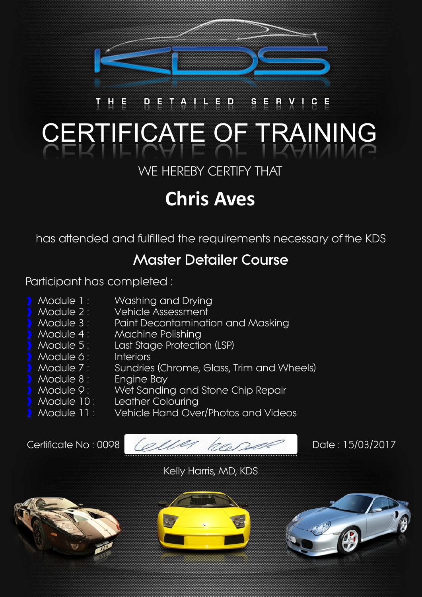

### D E T A ED SERVI  $C$  E **TEICATE OF TRAINING**

WE HEREBY CERTIFY THAT

# **Chris Aves**

has attended and fulfilled the requirements necessary of the KDS

## **Master Detailer Course**

Participant has completed :

- Module 1: Washing and Drying
- Module 2: Vehicle Assessment
- Module 3 : Paint Decontamination and Masking
	- Module 4: Machine Polishing
- Module 5: Last Stage Protection (LSP)
- Module 6: Interiors
- Module 7 : Sundries (Chrome, Glass, Trim and Wheels)
	- Module 8: Engine Bay
- Module 9: Wet Sanding and Stone Chip Repair
- Module 10: Leather Colouring
- Module 11 : Vehicle Hand Over/Photos and Videos